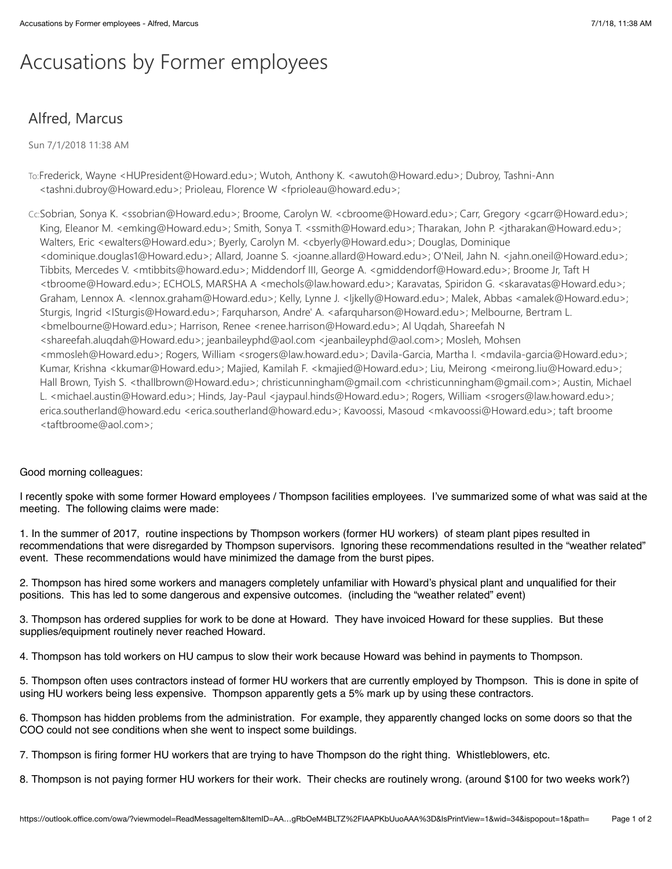## Accusations by Former employees

## Alfred, Marcus

Sun 7/1/2018 11:38 AM

- To:Frederick, Wayne <HUPresident@Howard.edu>; Wutoh, Anthony K. <awutoh@Howard.edu>; Dubroy, Tashni-Ann <tashni.dubroy@Howard.edu>; Prioleau, Florence W <fprioleau@howard.edu>;
- Cc:Sobrian, Sonya K. <ssobrian@Howard.edu>; Broome, Carolyn W. <cbroome@Howard.edu>; Carr, Gregory <gcarr@Howard.edu>; King, Eleanor M. <emking@Howard.edu>; Smith, Sonya T. <ssmith@Howard.edu>; Tharakan, John P. <jtharakan@Howard.edu>; Walters, Eric <ewalters@Howard.edu>; Byerly, Carolyn M. <cbyerly@Howard.edu>; Douglas, Dominique <dominique.douglas1@Howard.edu>; Allard, Joanne S. <joanne.allard@Howard.edu>; O'Neil, Jahn N. <jahn.oneil@Howard.edu>; Tibbits, Mercedes V. <mtibbits@howard.edu>; Middendorf III, George A. <gmiddendorf@Howard.edu>; Broome Jr, Taft H <tbroome@Howard.edu>; ECHOLS, MARSHA A <mechols@law.howard.edu>; Karavatas, Spiridon G. <skaravatas@Howard.edu>; Graham, Lennox A. <lennox.graham@Howard.edu>; Kelly, Lynne J. <ljkelly@Howard.edu>; Malek, Abbas <amalek@Howard.edu>; Sturgis, Ingrid <ISturgis@Howard.edu>; Farquharson, Andre' A. <afarquharson@Howard.edu>; Melbourne, Bertram L. <bmelbourne@Howard.edu>; Harrison, Renee <renee.harrison@Howard.edu>; Al Uqdah, Shareefah N <shareefah.aluqdah@Howard.edu>; jeanbaileyphd@aol.com <jeanbaileyphd@aol.com>; Mosleh, Mohsen <mmosleh@Howard.edu>; Rogers, William <srogers@law.howard.edu>; Davila-Garcia, Martha I. <mdavila-garcia@Howard.edu>; Kumar, Krishna <kkumar@Howard.edu>; Majied, Kamilah F. <kmajied@Howard.edu>; Liu, Meirong <meirong.liu@Howard.edu>; Hall Brown, Tyish S. <thallbrown@Howard.edu>; christicunningham@gmail.com <christicunningham@gmail.com>; Austin, Michael L. <michael.austin@Howard.edu>; Hinds, Jay-Paul <jaypaul.hinds@Howard.edu>; Rogers, William <srogers@law.howard.edu>; erica.southerland@howard.edu <erica.southerland@howard.edu>; Kavoossi, Masoud <mkavoossi@Howard.edu>; taft broome <taftbroome@aol.com>;

## Good morning colleagues:

I recently spoke with some former Howard employees / Thompson facilities employees. I've summarized some of what was said at the meeting. The following claims were made:

1. In the summer of 2017, routine inspections by Thompson workers (former HU workers) of steam plant pipes resulted in recommendations that were disregarded by Thompson supervisors. Ignoring these recommendations resulted in the "weather related" event. These recommendations would have minimized the damage from the burst pipes.

2. Thompson has hired some workers and managers completely unfamiliar with Howard's physical plant and unqualified for their positions. This has led to some dangerous and expensive outcomes. (including the "weather related" event)

3. Thompson has ordered supplies for work to be done at Howard. They have invoiced Howard for these supplies. But these supplies/equipment routinely never reached Howard.

4. Thompson has told workers on HU campus to slow their work because Howard was behind in payments to Thompson.

5. Thompson often uses contractors instead of former HU workers that are currently employed by Thompson. This is done in spite of using HU workers being less expensive. Thompson apparently gets a 5% mark up by using these contractors.

6. Thompson has hidden problems from the administration. For example, they apparently changed locks on some doors so that the COO could not see conditions when she went to inspect some buildings.

7. Thompson is firing former HU workers that are trying to have Thompson do the right thing. Whistleblowers, etc.

8. Thompson is not paying former HU workers for their work. Their checks are routinely wrong. (around \$100 for two weeks work?)